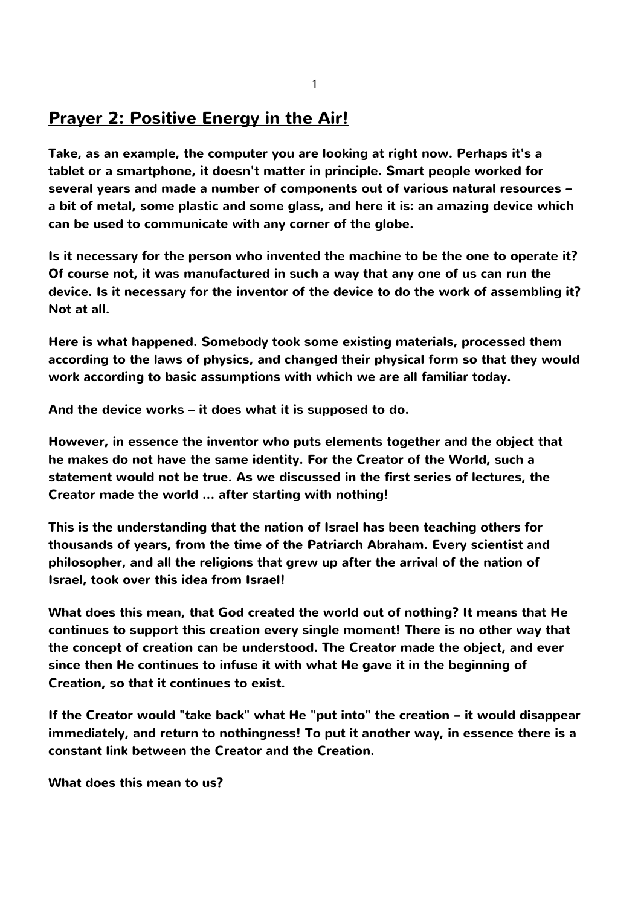## **Prayer 2: Positive Energy in the Air!**

**Take, as an example, the computer you are looking at right now. Perhaps it's a tablet or a smartphone, it doesn't matter in principle. Smart people worked for several years and made a number of components out of various natural resources – a bit of metal, some plastic and some glass, and here it is: an amazing device which can be used to communicate with any corner of the globe.**

**Is it necessary for the person who invented the machine to be the one to operate it? Of course not, it was manufactured in such a way that any one of us can run the device. Is it necessary for the inventor of the device to do the work of assembling it? Not at all.**

**Here is what happened. Somebody took some existing materials, processed them according to the laws of physics, and changed their physical form so that they would work according to basic assumptions with which we are all familiar today.**

**And the device works – it does what it is supposed to do.**

**However, in essence the inventor who puts elements together and the object that he makes do not have the same identity. For the Creator of the World, such a statement would not be true. As we discussed in the first series of lectures, the Creator made the world ... after starting with nothing!**

**This is the understanding that the nation of Israel has been teaching others for thousands of years, from the time of the Patriarch Abraham. Every scientist and philosopher, and all the religions that grew up after the arrival of the nation of Israel, took over this idea from Israel!**

**What does this mean, that God created the world out of nothing? It means that He continues to support this creation every single moment! There is no other way that the concept of creation can be understood. The Creator made the object, and ever since then He continues to infuse it with what He gave it in the beginning of Creation, so that it continues to exist.**

**If the Creator would "take back" what He "put into" the creation – it would disappear immediately, and return to nothingness! To put it another way, in essence there is a constant link between the Creator and the Creation.**

**What does this mean to us?**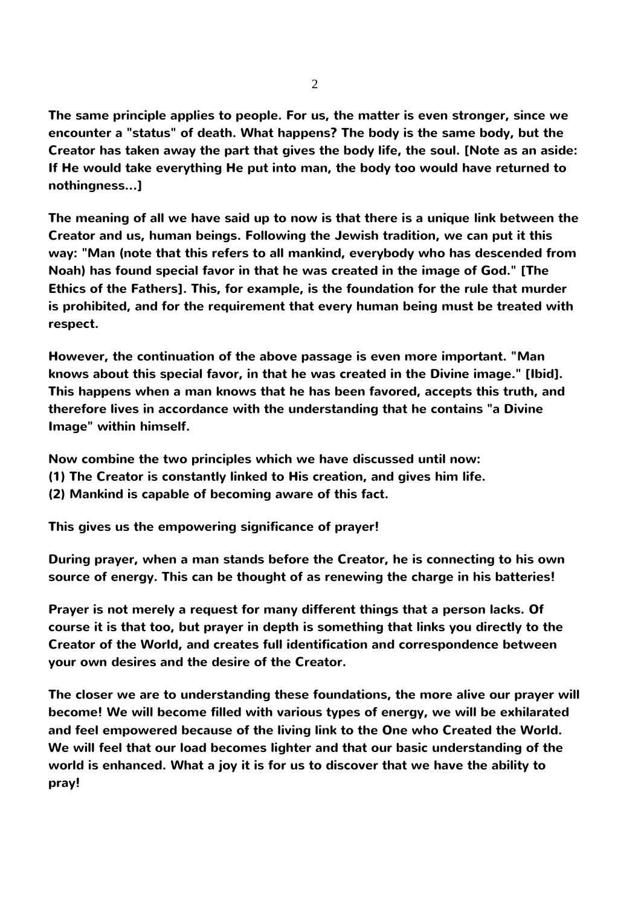**The same principle applies to people. For us, the matter is even stronger, since we encounter a "status" of death. What happens? The body is the same body, but the Creator has taken away the part that gives the body life, the soul. [Note as an aside: If He would take everything He put into man, the body too would have returned to nothingness...]**

**The meaning of all we have said up to now is that there is a unique link between the Creator and us, human beings. Following the Jewish tradition, we can put it this way: "Man (note that this refers to all mankind, everybody who has descended from Noah) has found special favor in that he was created in the image of God." [The Ethics of the Fathers]. This, for example, is the foundation for the rule that murder is prohibited, and for the requirement that every human being must be treated with respect.**

**However, the continuation of the above passage is even more important. "Man knows about this special favor, in that he was created in the Divine image." [Ibid]. This happens when a man knows that he has been favored, accepts this truth, and therefore lives in accordance with the understanding that he contains "a Divine Image" within himself.** 

**Now combine the two principles which we have discussed until now:**

- **(1) The Creator is constantly linked to His creation, and gives him life.**
- **(2) Mankind is capable of becoming aware of this fact.**

**This gives us the empowering significance of prayer!**

**During prayer, when a man stands before the Creator, he is connecting to his own source of energy. This can be thought of as renewing the charge in his batteries!**

**Prayer is not merely a request for many different things that a person lacks. Of course it is that too, but prayer in depth is something that links you directly to the Creator of the World, and creates full identification and correspondence between your own desires and the desire of the Creator.**

**The closer we are to understanding these foundations, the more alive our prayer will become! We will become filled with various types of energy, we will be exhilarated and feel empowered because of the living link to the One who Created the World. We will feel that our load becomes lighter and that our basic understanding of the world is enhanced. What a joy it is for us to discover that we have the ability to pray!**